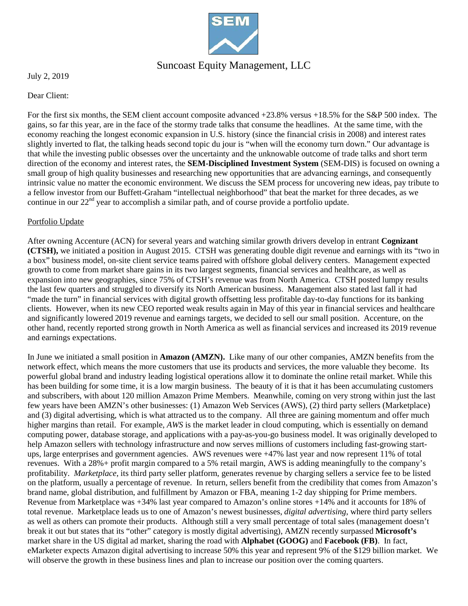

### Suncoast Equity Management, LLC

July 2, 2019

Dear Client:

For the first six months, the SEM client account composite advanced +23.8% versus +18.5% for the S&P 500 index. The gains, so far this year, are in the face of the stormy trade talks that consume the headlines. At the same time, with the economy reaching the longest economic expansion in U.S. history (since the financial crisis in 2008) and interest rates slightly inverted to flat, the talking heads second topic du jour is "when will the economy turn down." Our advantage is that while the investing public obsesses over the uncertainty and the unknowable outcome of trade talks and short term direction of the economy and interest rates, the **SEM-Disciplined Investment System** (SEM-DIS) is focused on owning a small group of high quality businesses and researching new opportunities that are advancing earnings, and consequently intrinsic value no matter the economic environment. We discuss the SEM process for uncovering new ideas, pay tribute to a fellow investor from our Buffett-Graham "intellectual neighborhood" that beat the market for three decades, as we continue in our 22<sup>nd</sup> year to accomplish a similar path, and of course provide a portfolio update.

### Portfolio Update

After owning Accenture (ACN) for several years and watching similar growth drivers develop in entrant **Cognizant (CTSH),** we initiated a position in August 2015. CTSH was generating double digit revenue and earnings with its "two in a box" business model, on-site client service teams paired with offshore global delivery centers. Management expected growth to come from market share gains in its two largest segments, financial services and healthcare, as well as expansion into new geographies, since 75% of CTSH's revenue was from North America. CTSH posted lumpy results the last few quarters and struggled to diversify its North American business. Management also stated last fall it had "made the turn" in financial services with digital growth offsetting less profitable day-to-day functions for its banking clients. However, when its new CEO reported weak results again in May of this year in financial services and healthcare and significantly lowered 2019 revenue and earnings targets, we decided to sell our small position. Accenture, on the other hand, recently reported strong growth in North America as well as financial services and increased its 2019 revenue and earnings expectations.

In June we initiated a small position in **Amazon (AMZN).** Like many of our other companies, AMZN benefits from the network effect, which means the more customers that use its products and services, the more valuable they become. Its powerful global brand and industry leading logistical operations allow it to dominate the online retail market. While this has been building for some time, it is a low margin business. The beauty of it is that it has been accumulating customers and subscribers, with about 120 million Amazon Prime Members. Meanwhile, coming on very strong within just the last few years have been AMZN's other businesses: (1) Amazon Web Services (AWS), (2) third party sellers (Marketplace) and (3) digital advertising, which is what attracted us to the company. All three are gaining momentum and offer much higher margins than retail. For example, *AWS* is the market leader in cloud computing, which is essentially on demand computing power, database storage, and applications with a pay-as-you-go business model. It was originally developed to help Amazon sellers with technology infrastructure and now serves millions of customers including fast-growing startups, large enterprises and government agencies. AWS revenues were +47% last year and now represent 11% of total revenues. With a 28%+ profit margin compared to a 5% retail margin, AWS is adding meaningfully to the company's profitability. *Marketplace*, its third party seller platform, generates revenue by charging sellers a service fee to be listed on the platform, usually a percentage of revenue. In return, sellers benefit from the credibility that comes from Amazon's brand name, global distribution, and fulfillment by Amazon or FBA, meaning 1-2 day shipping for Prime members. Revenue from Marketplace was +34% last year compared to Amazon's online stores +14% and it accounts for 18% of total revenue. Marketplace leads us to one of Amazon's newest businesses, *digital advertising*, where third party sellers as well as others can promote their products. Although still a very small percentage of total sales (management doesn't break it out but states that its "other" category is mostly digital advertising), AMZN recently surpassed **Microsoft's** market share in the US digital ad market, sharing the road with **Alphabet (GOOG)** and **Facebook (FB)**. In fact, eMarketer expects Amazon digital advertising to increase 50% this year and represent 9% of the \$129 billion market. We will observe the growth in these business lines and plan to increase our position over the coming quarters.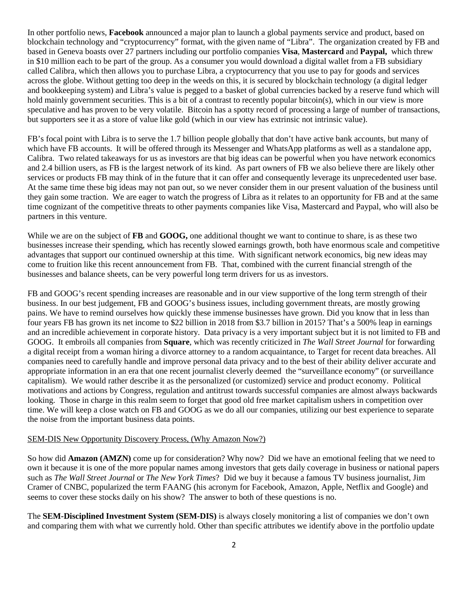In other portfolio news, **Facebook** announced a major plan to launch a global payments service and product, based on blockchain technology and "cryptocurrency" format, with the given name of "Libra". The organization created by FB and based in Geneva boasts over 27 partners including our portfolio companies **Visa**, **Mastercard** and **Paypal,** which threw in \$10 million each to be part of the group. As a consumer you would download a digital wallet from a FB subsidiary called Calibra, which then allows you to purchase Libra, a cryptocurrency that you use to pay for goods and services across the globe. Without getting too deep in the weeds on this, it is secured by blockchain technology (a digital ledger and bookkeeping system) and Libra's value is pegged to a basket of global currencies backed by a reserve fund which will hold mainly government securities. This is a bit of a contrast to recently popular bitcoin(s), which in our view is more speculative and has proven to be very volatile. Bitcoin has a spotty record of processing a large of number of transactions, but supporters see it as a store of value like gold (which in our view has extrinsic not intrinsic value).

FB's focal point with Libra is to serve the 1.7 billion people globally that don't have active bank accounts, but many of which have FB accounts. It will be offered through its Messenger and WhatsApp platforms as well as a standalone app, Calibra. Two related takeaways for us as investors are that big ideas can be powerful when you have network economics and 2.4 billion users, as FB is the largest network of its kind. As part owners of FB we also believe there are likely other services or products FB may think of in the future that it can offer and consequently leverage its unprecedented user base. At the same time these big ideas may not pan out, so we never consider them in our present valuation of the business until they gain some traction. We are eager to watch the progress of Libra as it relates to an opportunity for FB and at the same time cognizant of the competitive threats to other payments companies like Visa, Mastercard and Paypal, who will also be partners in this venture.

While we are on the subject of **FB** and **GOOG**, one additional thought we want to continue to share, is as these two businesses increase their spending, which has recently slowed earnings growth, both have enormous scale and competitive advantages that support our continued ownership at this time. With significant network economics, big new ideas may come to fruition like this recent announcement from FB. That, combined with the current financial strength of the businesses and balance sheets, can be very powerful long term drivers for us as investors.

FB and GOOG's recent spending increases are reasonable and in our view supportive of the long term strength of their business. In our best judgement, FB and GOOG's business issues, including government threats, are mostly growing pains. We have to remind ourselves how quickly these immense businesses have grown. Did you know that in less than four years FB has grown its net income to \$22 billion in 2018 from \$3.7 billion in 2015? That's a 500% leap in earnings and an incredible achievement in corporate history. Data privacy is a very important subject but it is not limited to FB and GOOG. It embroils all companies from **Square**, which was recently criticized in *The Wall Street Journal* for forwarding a digital receipt from a woman hiring a divorce attorney to a random acquaintance, to Target for recent data breaches. All companies need to carefully handle and improve personal data privacy and to the best of their ability deliver accurate and appropriate information in an era that one recent journalist cleverly deemed the "surveillance economy" (or surveillance capitalism). We would rather describe it as the personalized (or customized) service and product economy. Political motivations and actions by Congress, regulation and antitrust towards successful companies are almost always backwards looking. Those in charge in this realm seem to forget that good old free market capitalism ushers in competition over time. We will keep a close watch on FB and GOOG as we do all our companies, utilizing our best experience to separate the noise from the important business data points.

#### SEM-DIS New Opportunity Discovery Process, (Why Amazon Now?)

So how did **Amazon (AMZN)** come up for consideration? Why now? Did we have an emotional feeling that we need to own it because it is one of the more popular names among investors that gets daily coverage in business or national papers such as *The Wall Street Journal* or *The New York Times*? Did we buy it because a famous TV business journalist, Jim Cramer of CNBC, popularized the term FAANG (his acronym for Facebook, Amazon, Apple, Netflix and Google) and seems to cover these stocks daily on his show? The answer to both of these questions is no.

The **SEM-Disciplined Investment System (SEM-DIS)** is always closely monitoring a list of companies we don't own and comparing them with what we currently hold. Other than specific attributes we identify above in the portfolio update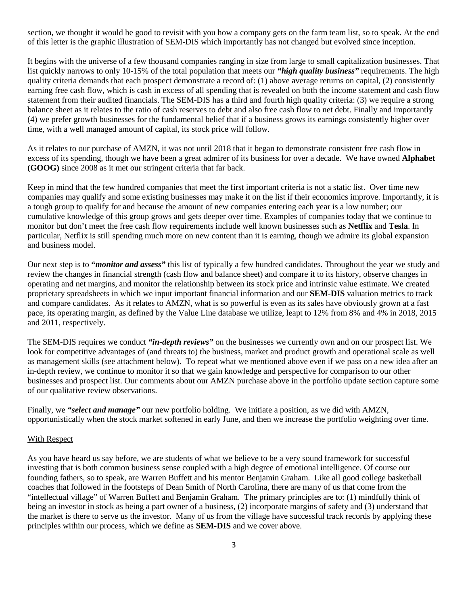section, we thought it would be good to revisit with you how a company gets on the farm team list, so to speak. At the end of this letter is the graphic illustration of SEM-DIS which importantly has not changed but evolved since inception.

It begins with the universe of a few thousand companies ranging in size from large to small capitalization businesses. That list quickly narrows to only 10-15% of the total population that meets our *"high quality business"* requirements. The high quality criteria demands that each prospect demonstrate a record of: (1) above average returns on capital, (2) consistently earning free cash flow, which is cash in excess of all spending that is revealed on both the income statement and cash flow statement from their audited financials. The SEM-DIS has a third and fourth high quality criteria: (3) we require a strong balance sheet as it relates to the ratio of cash reserves to debt and also free cash flow to net debt. Finally and importantly (4) we prefer growth businesses for the fundamental belief that if a business grows its earnings consistently higher over time, with a well managed amount of capital, its stock price will follow.

As it relates to our purchase of AMZN, it was not until 2018 that it began to demonstrate consistent free cash flow in excess of its spending, though we have been a great admirer of its business for over a decade. We have owned **Alphabet (GOOG)** since 2008 as it met our stringent criteria that far back.

Keep in mind that the few hundred companies that meet the first important criteria is not a static list. Over time new companies may qualify and some existing businesses may make it on the list if their economics improve. Importantly, it is a tough group to qualify for and because the amount of new companies entering each year is a low number; our cumulative knowledge of this group grows and gets deeper over time. Examples of companies today that we continue to monitor but don't meet the free cash flow requirements include well known businesses such as **Netflix** and **Tesla**. In particular, Netflix is still spending much more on new content than it is earning, though we admire its global expansion and business model.

Our next step is to **"***monitor and assess"* this list of typically a few hundred candidates. Throughout the year we study and review the changes in financial strength (cash flow and balance sheet) and compare it to its history, observe changes in operating and net margins, and monitor the relationship between its stock price and intrinsic value estimate. We created proprietary spreadsheets in which we input important financial information and our **SEM-DIS** valuation metrics to track and compare candidates. As it relates to AMZN, what is so powerful is even as its sales have obviously grown at a fast pace, its operating margin, as defined by the Value Line database we utilize, leapt to 12% from 8% and 4% in 2018, 2015 and 2011, respectively.

The SEM-DIS requires we conduct *"in-depth reviews"* on the businesses we currently own and on our prospect list. We look for competitive advantages of (and threats to) the business, market and product growth and operational scale as well as management skills (see attachment below). To repeat what we mentioned above even if we pass on a new idea after an in-depth review, we continue to monitor it so that we gain knowledge and perspective for comparison to our other businesses and prospect list. Our comments about our AMZN purchase above in the portfolio update section capture some of our qualitative review observations.

Finally, we *"select and manage"* our new portfolio holding. We initiate a position, as we did with AMZN, opportunistically when the stock market softened in early June, and then we increase the portfolio weighting over time.

#### With Respect

As you have heard us say before, we are students of what we believe to be a very sound framework for successful investing that is both common business sense coupled with a high degree of emotional intelligence. Of course our founding fathers, so to speak, are Warren Buffett and his mentor Benjamin Graham. Like all good college basketball coaches that followed in the footsteps of Dean Smith of North Carolina, there are many of us that come from the "intellectual village" of Warren Buffett and Benjamin Graham. The primary principles are to: (1) mindfully think of being an investor in stock as being a part owner of a business, (2) incorporate margins of safety and (3) understand that the market is there to serve us the investor. Many of us from the village have successful track records by applying these principles within our process, which we define as **SEM-DIS** and we cover above.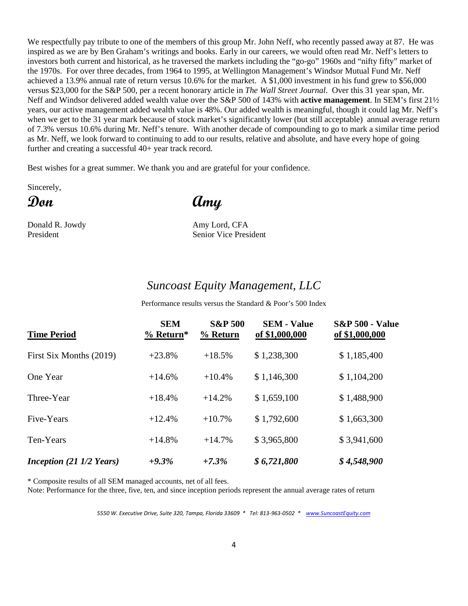We respectfully pay tribute to one of the members of this group Mr. John Neff, who recently passed away at 87. He was inspired as we are by Ben Graham's writings and books. Early in our careers, we would often read Mr. Neff's letters to investors both current and historical, as he traversed the markets including the "go-go" 1960s and "nifty fifty" market of the 1970s. For over three decades, from 1964 to 1995, at Wellington Management's Windsor Mutual Fund Mr. Neff achieved a 13.9% annual rate of return versus 10.6% for the market. A \$1,000 investment in his fund grew to \$56,000 versus \$23,000 for the S&P 500, per a recent honorary article in *The Wall Street Journal*. Over this 31 year span, Mr. Neff and Windsor delivered added wealth value over the S&P 500 of 143% with **active management**. In SEM's first 21½ years, our active management added wealth value is 48%. Our added wealth is meaningful, though it could lag Mr. Neff's when we get to the 31 year mark because of stock market's significantly lower (but still acceptable) annual average return of 7.3% versus 10.6% during Mr. Neff's tenure. With another decade of compounding to go to mark a similar time period as Mr. Neff, we look forward to continuing to add to our results, relative and absolute, and have every hope of going further and creating a successful 40+ year track record.

Best wishes for a great summer. We thank you and are grateful for your confidence.

Sincerely,

# **Don Amy**

Donald R. Jowdy Amy Lord, CFA President Senior Vice President

### *Suncoast Equity Management, LLC*

Performance results versus the Standard & Poor's 500 Index

| <b>Time Period</b>                                | <b>SEM</b><br>$%$ Return* | <b>S&amp;P 500</b><br>% Return | <b>SEM - Value</b><br>of \$1,000,000 | <b>S&amp;P 500 - Value</b><br>of \$1,000,000 |
|---------------------------------------------------|---------------------------|--------------------------------|--------------------------------------|----------------------------------------------|
| First Six Months (2019)                           | $+23.8%$                  | $+18.5%$                       | \$1,238,300                          | \$1,185,400                                  |
| One Year                                          | $+14.6%$                  | $+10.4%$                       | \$1,146,300                          | \$1,104,200                                  |
| Three-Year                                        | $+18.4%$                  | $+14.2%$                       | \$1,659,100                          | \$1,488,900                                  |
| Five-Years                                        | $+12.4%$                  | $+10.7%$                       | \$1,792,600                          | \$1,663,300                                  |
| Ten-Years                                         | $+14.8%$                  | $+14.7%$                       | \$3,965,800                          | \$3,941,600                                  |
| <i>Inception</i> $(21 \frac{1}{2} \text{ Years})$ | $+9.3%$                   | $+7.3%$                        | \$6,721,800                          | \$4,548,900                                  |

\* Composite results of all SEM managed accounts, net of all fees.

Note: Performance for the three, five, ten, and since inception periods represent the annual average rates of return

*5550 W. Executive Drive, Suite 320, Tampa, Florida 33609 \* Tel: 813-963-0502 \* [www.SuncoastEquity.com](http://www.suncoastequity.com/)*